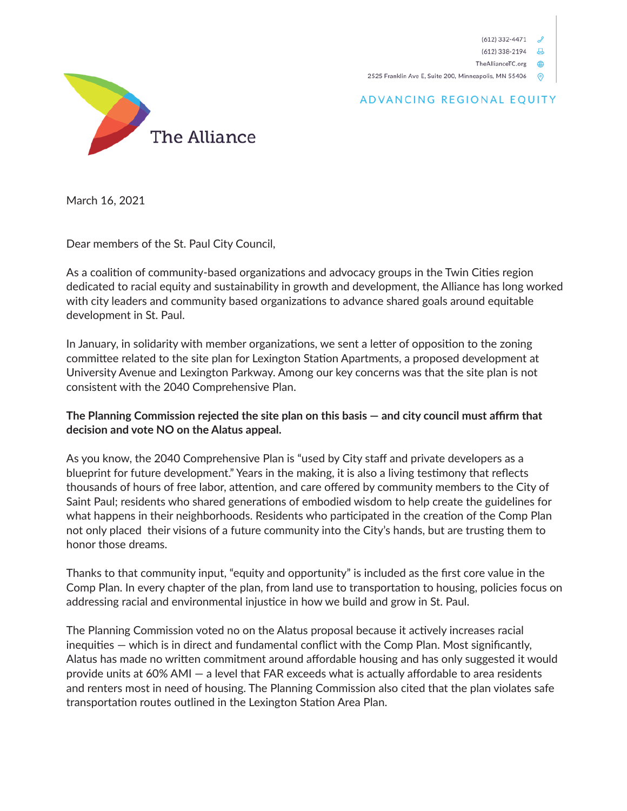

(612) 338-2194 TheAllianceTC.org

2525 Franklin Ave E, Suite 200, Minneapolis, MN 55406 ි



## ADVANCING REGIONAL EQUITY

March 16, 2021

Dear members of the St. Paul City Council,

As a coalition of community-based organizations and advocacy groups in the Twin Cities region dedicated to racial equity and sustainability in growth and development, the Alliance has long worked with city leaders and community based organizations to advance shared goals around equitable development in St. Paul.

In January, in solidarity with member organizations, we sent a letter of opposition to the zoning committee related to the site plan for Lexington Station Apartments, a proposed development at University Avenue and Lexington Parkway. Among our key concerns was that the site plan is not consistent with the 2040 Comprehensive Plan.

## **The Planning Commission rejected the site plan on this basis — and city council must affirm that decision and vote NO on the Alatus appeal.**

As you know, the 2040 Comprehensive Plan is "used by City staff and private developers as a blueprint for future development." Years in the making, it is also a living testimony that reflects thousands of hours of free labor, attention, and care offered by community members to the City of Saint Paul; residents who shared generations of embodied wisdom to help create the guidelines for what happens in their neighborhoods. Residents who participated in the creation of the Comp Plan not only placed their visions of a future community into the City's hands, but are trusting them to honor those dreams.

Thanks to that community input, "equity and opportunity" is included as the first core value in the Comp Plan. In every chapter of the plan, from land use to transportation to housing, policies focus on addressing racial and environmental injustice in how we build and grow in St. Paul.

The Planning Commission voted no on the Alatus proposal because it actively increases racial inequities — which is in direct and fundamental conflict with the Comp Plan. Most significantly, Alatus has made no written commitment around affordable housing and has only suggested it would provide units at 60% AMI — a level that FAR exceeds what is actually affordable to area residents and renters most in need of housing. The Planning Commission also cited that the plan violates safe transportation routes outlined in the Lexington Station Area Plan.